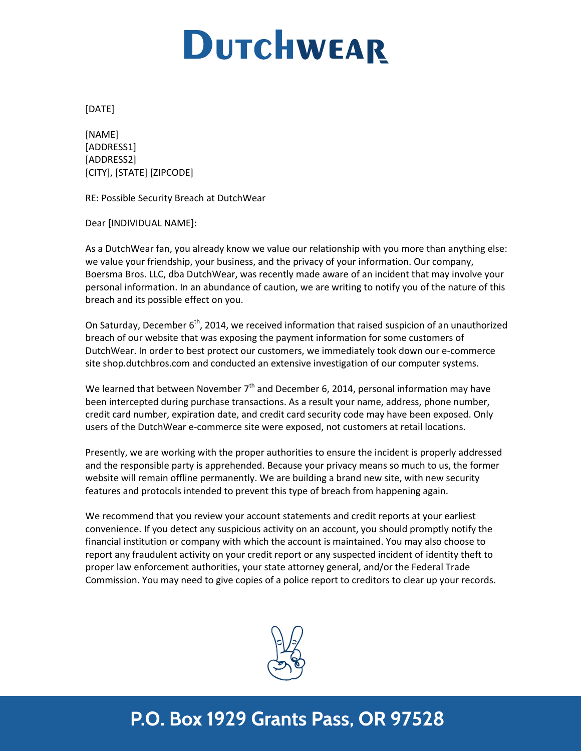## **DUTCHWEAR**

[DATE]

[NAME] [ADDRESS1] [ADDRESS2] [CITY], [STATE] [ZIPCODE]

RE: Possible Security Breach at DutchWear

Dear [INDIVIDUAL NAME]:

As a DutchWear fan, you already know we value our relationship with you more than anything else: we value your friendship, your business, and the privacy of your information. Our company, Boersma Bros. LLC, dba DutchWear, was recently made aware of an incident that may involve your personal information. In an abundance of caution, we are writing to notify you of the nature of this breach and its possible effect on you.

On Saturday, December 6<sup>th</sup>, 2014, we received information that raised suspicion of an unauthorized breach of our website that was exposing the payment information for some customers of DutchWear. In order to best protect our customers, we immediately took down our e-commerce site shop.dutchbros.com and conducted an extensive investigation of our computer systems.

We learned that between November  $7<sup>th</sup>$  and December 6, 2014, personal information may have been intercepted during purchase transactions. As a result your name, address, phone number, credit card number, expiration date, and credit card security code may have been exposed. Only users of the DutchWear e-commerce site were exposed, not customers at retail locations.

Presently, we are working with the proper authorities to ensure the incident is properly addressed and the responsible party is apprehended. Because your privacy means so much to us, the former website will remain offline permanently. We are building a brand new site, with new security features and protocols intended to prevent this type of breach from happening again.

We recommend that you review your account statements and credit reports at your earliest convenience. If you detect any suspicious activity on an account, you should promptly notify the financial institution or company with which the account is maintained. You may also choose to report any fraudulent activity on your credit report or any suspected incident of identity theft to proper law enforcement authorities, your state attorney general, and/or the Federal Trade Commission. You may need to give copies of a police report to creditors to clear up your records.



## P.O. Box 1929 Grants Pass, OR 97528